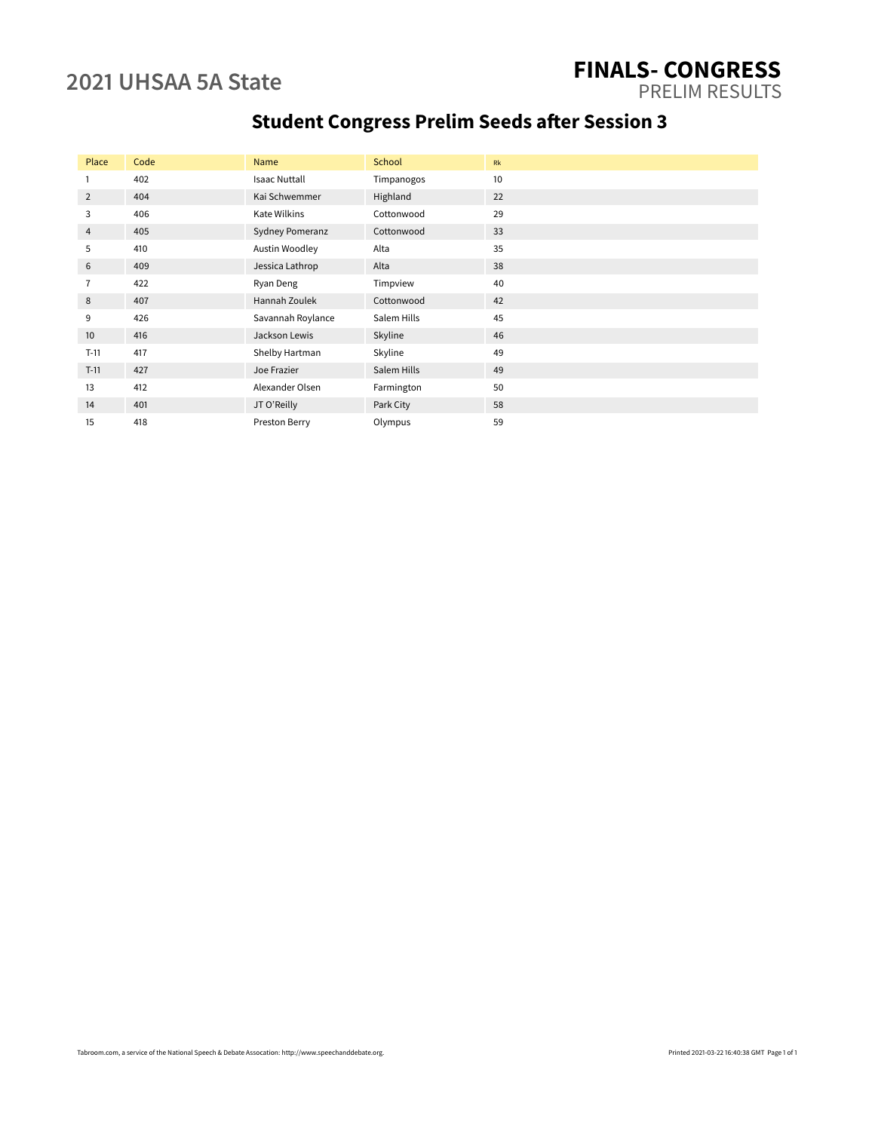### **2021 UHSAA 5A State FINALS- CONGRESS** PRELIM RESULTS

# **Student Congress Prelim Seeds after Session 3**

| Place          | Code | Name                 | School      | Rk |
|----------------|------|----------------------|-------------|----|
|                | 402  | <b>Isaac Nuttall</b> | Timpanogos  | 10 |
| $\overline{2}$ | 404  | Kai Schwemmer        | Highland    | 22 |
| 3              | 406  | Kate Wilkins         | Cottonwood  | 29 |
| 4              | 405  | Sydney Pomeranz      | Cottonwood  | 33 |
| 5              | 410  | Austin Woodley       | Alta        | 35 |
| 6              | 409  | Jessica Lathrop      | Alta        | 38 |
| $\overline{7}$ | 422  | Ryan Deng            | Timpview    | 40 |
| 8              | 407  | Hannah Zoulek        | Cottonwood  | 42 |
| 9              | 426  | Savannah Roylance    | Salem Hills | 45 |
| 10             | 416  | Jackson Lewis        | Skyline     | 46 |
| $T-11$         | 417  | Shelby Hartman       | Skyline     | 49 |
| $T-11$         | 427  | Joe Frazier          | Salem Hills | 49 |
| 13             | 412  | Alexander Olsen      | Farmington  | 50 |
| 14             | 401  | JT O'Reilly          | Park City   | 58 |
| 15             | 418  | Preston Berry        | Olympus     | 59 |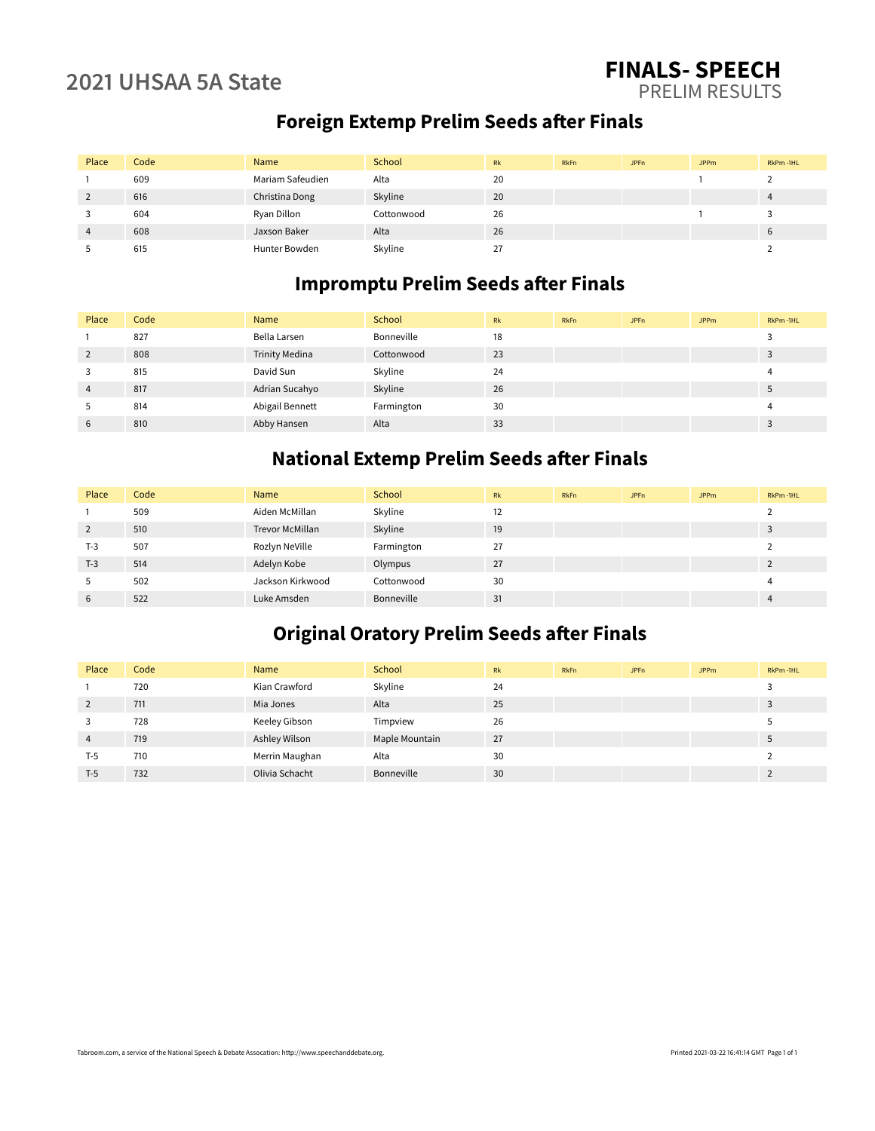### **2021 UHSAA 5A State FINALS- SPEECH** PRELIM RESULTS

## **Foreign Extemp Prelim Seeds after Finals**

| Place | Code | Name             | School     | Rk | <b>RkFn</b> | JPF <sub>n</sub> | <b>JPPm</b> | RkPm-1HL |
|-------|------|------------------|------------|----|-------------|------------------|-------------|----------|
|       | 609  | Mariam Safeudien | Alta       | 20 |             |                  |             |          |
|       | 616  | Christina Dong   | Skyline    | 20 |             |                  |             |          |
|       | 604  | Ryan Dillon      | Cottonwood | 26 |             |                  |             |          |
| 4     | 608  | Jaxson Baker     | Alta       | 26 |             |                  |             | b        |
|       | 615  | Hunter Bowden    | Skyline    | 27 |             |                  |             |          |

## **Impromptu Prelim Seeds after Finals**

| Place          | Code | Name                  | School     | Rk | <b>RkFn</b> | JPFn | <b>JPPm</b> | RkPm-1HL |
|----------------|------|-----------------------|------------|----|-------------|------|-------------|----------|
|                | 827  | Bella Larsen          | Bonneville | 18 |             |      |             |          |
| 2              | 808  | <b>Trinity Medina</b> | Cottonwood | 23 |             |      |             |          |
| 3              | 815  | David Sun             | Skyline    | 24 |             |      |             |          |
| $\overline{4}$ | 817  | Adrian Sucahyo        | Skyline    | 26 |             |      |             |          |
| 5              | 814  | Abigail Bennett       | Farmington | 30 |             |      |             |          |
| 6              | 810  | Abby Hansen           | Alta       | 33 |             |      |             |          |

### **National Extemp Prelim Seeds after Finals**

| Place | Code | Name                   | School     | Rk | RkFn | JPFn | <b>JPPm</b> | RkPm-1HL |
|-------|------|------------------------|------------|----|------|------|-------------|----------|
|       | 509  | Aiden McMillan         | Skyline    | 12 |      |      |             |          |
| 2     | 510  | <b>Trevor McMillan</b> | Skyline    | 19 |      |      |             |          |
| $T-3$ | 507  | Rozlyn NeVille         | Farmington | 27 |      |      |             |          |
| $T-3$ | 514  | Adelyn Kobe            | Olympus    | 27 |      |      |             |          |
| 5     | 502  | Jackson Kirkwood       | Cottonwood | 30 |      |      |             |          |
| 6     | 522  | Luke Amsden            | Bonneville | 31 |      |      |             | 4        |

### **Original Oratory Prelim Seeds after Finals**

| Place | Code | Name           | School         | Rk | <b>RkFn</b> | JPF <sub>n</sub> | <b>JPPm</b> | RkPm-1HL |
|-------|------|----------------|----------------|----|-------------|------------------|-------------|----------|
|       | 720  | Kian Crawford  | Skyline        | 24 |             |                  |             |          |
| 2     | 711  | Mia Jones      | Alta           | 25 |             |                  |             |          |
|       | 728  | Keeley Gibson  | Timpview       | 26 |             |                  |             |          |
| 4     | 719  | Ashley Wilson  | Maple Mountain | 27 |             |                  |             |          |
| T-5   | 710  | Merrin Maughan | Alta           | 30 |             |                  |             |          |
| $T-5$ | 732  | Olivia Schacht | Bonneville     | 30 |             |                  |             |          |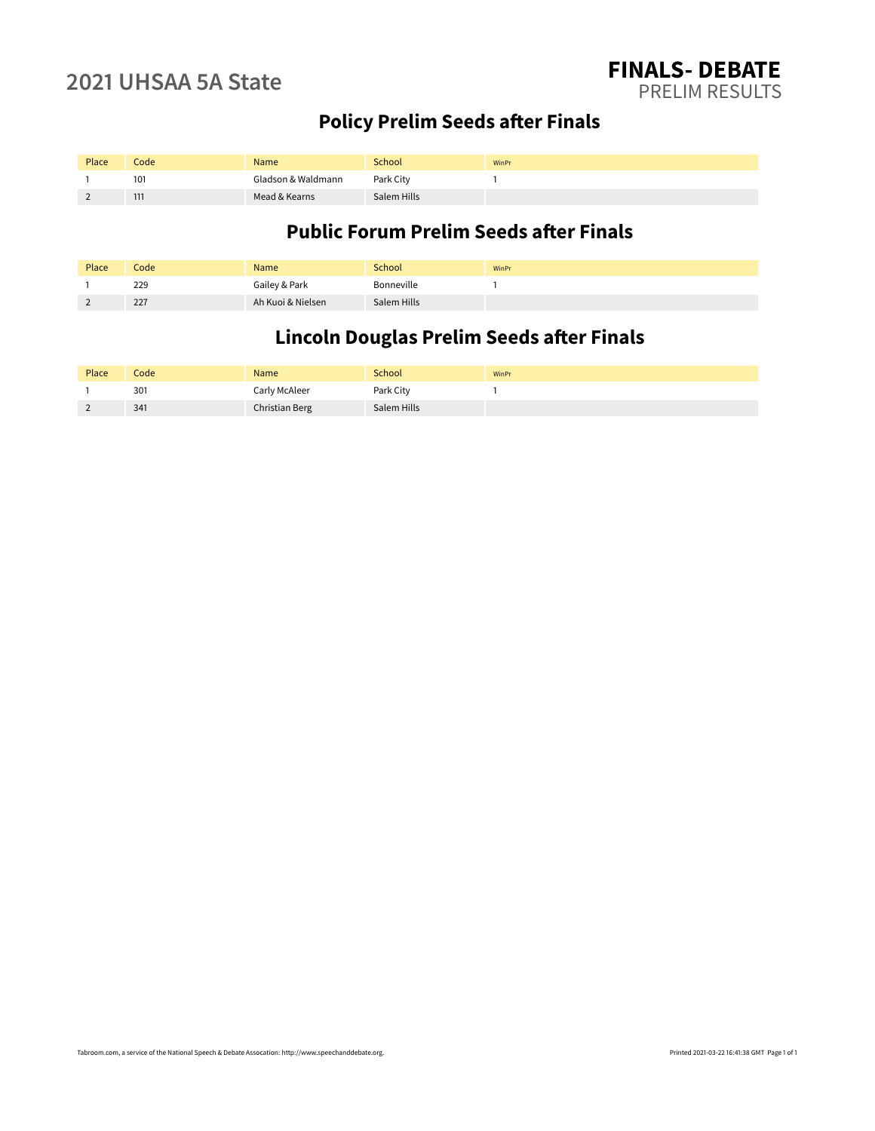# **Policy Prelim Seeds after Finals**

| Place | Code            | Name               | School      | WinPr |
|-------|-----------------|--------------------|-------------|-------|
|       | 10 <sup>1</sup> | Gladson & Waldmann | Park City   |       |
|       | 111             | Mead & Kearns      | Salem Hills |       |

### **Public Forum Prelim Seeds after Finals**

| Place | Code | Name              | School      | WinPr |
|-------|------|-------------------|-------------|-------|
|       | 229  | Gailey & Park     | Bonneville  |       |
|       | 227  | Ah Kuoi & Nielsen | Salem Hills |       |

## **Lincoln Douglas Prelim Seeds after Finals**

| Place | Code | Name           | <b>School</b> | WinPr |
|-------|------|----------------|---------------|-------|
|       | 301  | Carly McAleer  | Park City     |       |
|       | 341  | Christian Berg | Salem Hills   |       |